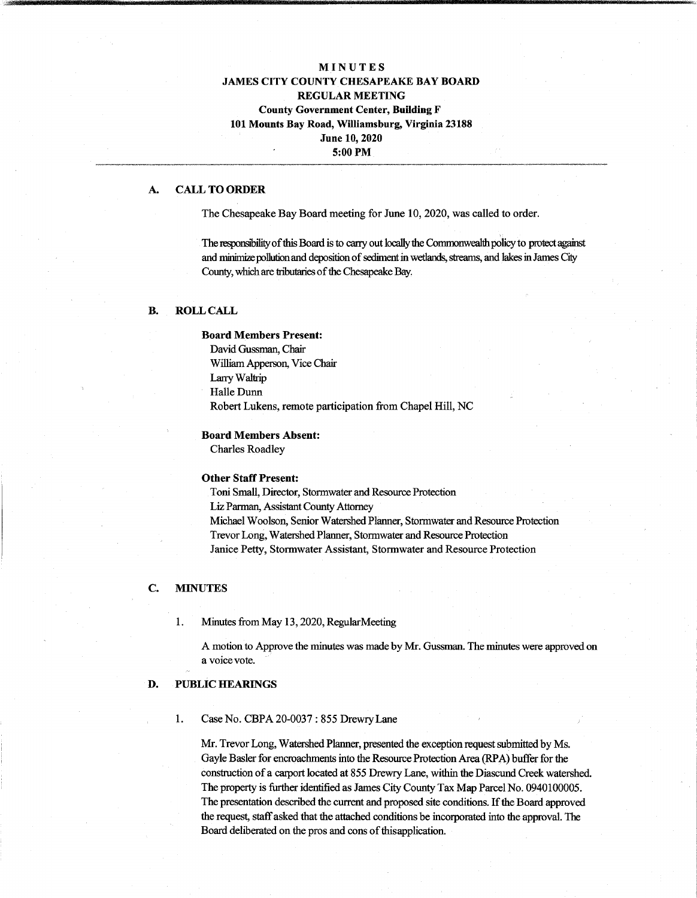# **MINUTES JAMES CITY COUNTY CHESAPEAKE BAY BOARD REGULAR MEETING County Government Center, Building F 101 Mounts Bay Road, Williamsburg, Virginia 23188 June 10,2020 5:00 PM**

### **A. CALL TO ORDER**

The Chesapeake Bay Board meeting for June 10, 2020, was called to order.

The responsibility of this Board is to carry out locally the Commonwealth policy to protect against and minimize pollution and deposition of sediment in wetlands, streams, and lakes in James City County, which are tributaries of the Chesapeake Bay.

#### **B. ROLL CALL**

#### **Board Members Present:**

David Gussman, Chair William Apperson, Vice Chair LarryWaltrip Halle Dunn Robert Lukens, remote participation from Chapel Hill, NC

#### **Board Members Absent:**

Charles Roadley

#### **Other Staff Present:**

Toni Small, Director, Stormwater and Resource Protection Liz Parman, Assistant County Attorney Michael Woolson, Senior Watershed Planner, Stormwater and Resource Protection Trevor Long, Watershed Planner, Stormwater and Resource Protection Janice Petty, Stormwater Assistant, Stormwater and Resource Protection

## **C. MINUTES**

#### 1. Minutes from May 13,2020, RegularMeeting

A motion to Approve the minutes was made by Mr. Gussman. The minutes were approved on a voice vote.

#### **D. PUBLIC HEARINGS**

#### **1.** Case No. CBPA 20-0037 : 855 DrewryLane

Mr. Trevor Long, Watershed Planner, presented the exception request submitted by Ms. Gayle Basler for encroachments into the Resource Protection Area (RPA) buffer for the construction of a carport located at 855 Drewry Lane, within the Diascund Creek watershed. The property is further identified as James City County Tax Map Parcel No. 0940100005. The presentation described the current and proposed site conditions. Ifthe Board approved the request, staff asked that the attached conditions be incorporated into the approval. The Board deliberated on the pros and cons of this application.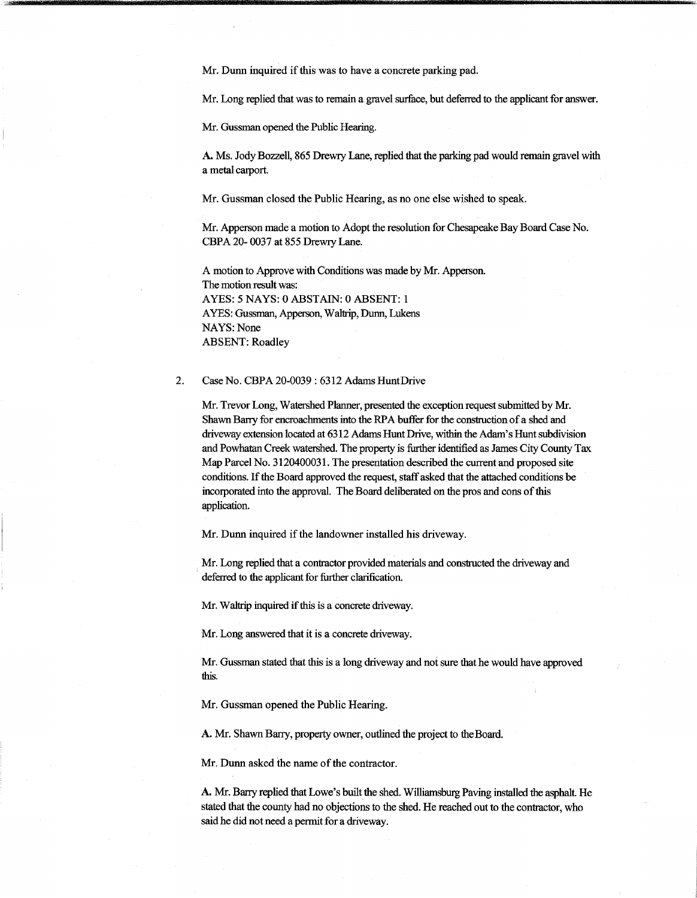Mr. Dunn inquired if this was to have a concrete parking pad.

Mr. Long replied that was to remain a gravel surface, but deferred to the applicant for answer.

Mr. Gussman opened the Public Hearing.

A. Ms. Jody Bozzell, 865 Drewry Lane, replied that the parking pad would remain gravel with a metal carport.

Mr. Gussman closed the Public Hearing, as no one else wished to speak.

Mr. Apperson made a motion to Adopt the resolution for Chesapeake Bay Board Case No. CBPA 20- 0037 at 855 Drewry Lane.

A motion to Approve with Conditions was made by Mr. Apperson. The motion result was: AYES: 5 NAYS: 0 ABSTAIN: 0 ABSENT: <sup>1</sup> AYES: Gussman, Apperson, Waltrip, Dunn, Lukens NAYS: None ABSENT: Roadley

**2.** Case No. CBPA 20-0039 : 6312 Adams HuntDrive

Mr. Trevor Long, Watershed Planner, presented the exception request submitted by Mr. Shawn Barry for encroachments into the RPA buffer for the construction of a shed and driveway extension located at 6312 Adams Hunt Drive, within the Adam's Hunt subdivision and Powhatan Creek watershed. The property is further identified as James City County Tax Map Parcel No. 3120400031. The presentation described the current and proposed site conditions. If the Board approved the request, staff asked that the attached conditions be incorporated into the approval. The Board deliberated on the pros and cons of this application.

Mr. Dunn inquired if the landowner installed his driveway.

Mr. Long replied that a contractor provided materials and constructed the driveway and deferred to the applicant for further clarification.

Mr. Waltrip inquired if this is a concrete driveway.

Mr. Long answered that it is a concrete driveway.

Mr. Gussman stated that this is a long driveway and not sure that he would have approved this.

Mr. Gussman opened the Public Hearing.

A. Mr. Shawn Barry, property owner, outlined the project to the Board.

Mr. Dunn asked the name of the contractor.

A. Mr. Barry replied that Lowe's built die shed. Williamsburg Paving installed the asphalt. He stated that the county had no objections to the shed. He reached out to the contractor, who said he did not need a permit for a driveway.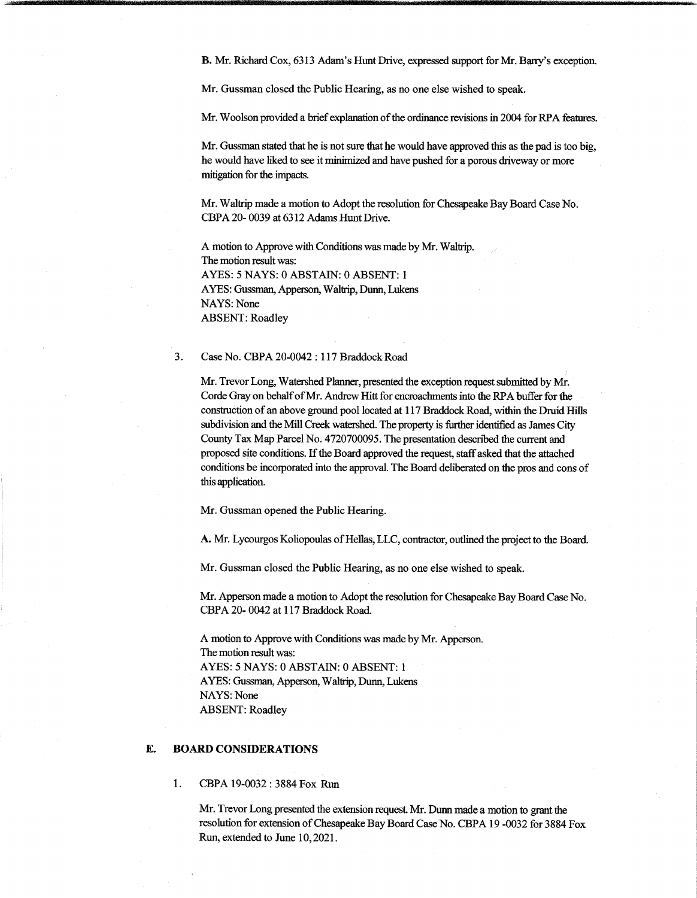B. Mr. Richard Cox, 6313 Adam's Hunt Drive, expressed support for Mr. Barry's exception.

Mr. Gussman closed the Public Hearing, as no one else wished to speak.

Mr. Woolson provided a brief explanation of the ordinance revisions in 2004 for RPA features.

Mr. Gussman stated that he is not sure that he would have approved this as the pad is too big, he would have liked to see it minimized and have pushed for a porous driveway or more mitigation for the impacts.

Mr. Waltrip made a motion to Adopt the resolution for Chesapeake Bay Board Case No. CBPA 20- 0039 at 6312 Adams Hunt Drive.

A motion to Approve with Conditions was made by Mr. Waltrip. The motion result was: AYES: 5 NAYS: 0 ABSTAIN: 0 ABSENT: <sup>1</sup> AYES: Gussman, Apperson, Waltrip, Dunn, Lukens NAYS: None ABSENT: Roadley

#### 3. Case No. CBPA 20-0042 : 117 Braddock Road

Mr. Trevor Long, Watershed Planner, presented the exception request submitted by Mr. Corde Gray on behalf of Mr. Andrew Hitt for encroachments into the RPA buffer for the construction of an above ground pool located at 117 Braddock Road, within the Druid Hills subdivision and the Mill Creek watershed. The property is further identified as James City County Tax Map Parcel No. 4720700095. The presentation described the current and proposed site conditions. Ifthe Board approved the request, staffasked thatthe attached conditions be incorporated into the approval. The Board deliberated on the pros and cons of this application.

Mr. Gussman opened the Public Hearing.

A. Mr. Lycourgos Koliopoulas of Hellas, LLC, contractor, outlined the project to the Board.

Mr. Gussman closed the Public Hearing, as no one else wished to speak.

Mr. Apperson made a motion to Adopt the resolution for Chesapeake Bay Board Case No. CBPA 20- 0042 at 117 Braddock Road.

A motion to Approve with Conditions was made by Mr. Apperson. The motion result was: AYES: 5 NAYS: 0 ABSTAIN: 0 ABSENT: <sup>1</sup> AYES: Gussman, Apperson, Waltrip, Dunn, Lukens NAYS: None ABSENT: Roadley

### E. **BOARD CONSIDERATIONS**

1. CBPA 19-0032 : 3884 Fox Run

Mr. Trevor Long presented the extension request. Mr. Dunn made a motion to grant die resolution for extension of Chesapeake Bay Board Case No. CBPA 19 -0032 for 3884 Fox Rim, extended to June 10,2021.